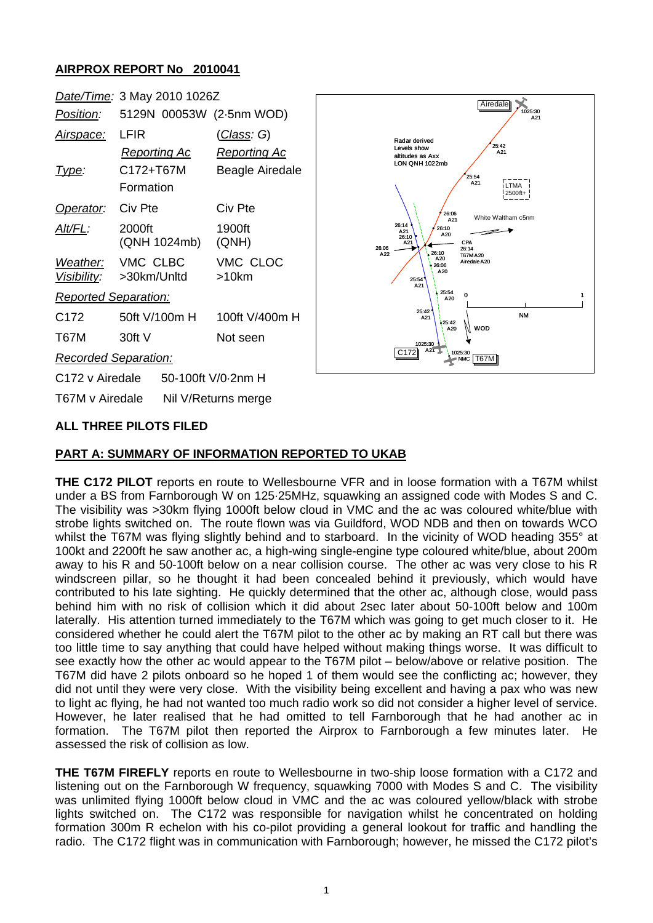## **AIRPROX REPORT No 2010041**



# **ALL THREE PILOTS FILED**

#### **PART A: SUMMARY OF INFORMATION REPORTED TO UKAB**

**THE C172 PILOT** reports en route to Wellesbourne VFR and in loose formation with a T67M whilst under a BS from Farnborough W on 125·25MHz, squawking an assigned code with Modes S and C. The visibility was >30km flying 1000ft below cloud in VMC and the ac was coloured white/blue with strobe lights switched on. The route flown was via Guildford, WOD NDB and then on towards WCO whilst the T67M was flying slightly behind and to starboard. In the vicinity of WOD heading 355° at 100kt and 2200ft he saw another ac, a high-wing single-engine type coloured white/blue, about 200m away to his R and 50-100ft below on a near collision course. The other ac was very close to his R windscreen pillar, so he thought it had been concealed behind it previously, which would have contributed to his late sighting. He quickly determined that the other ac, although close, would pass behind him with no risk of collision which it did about 2sec later about 50-100ft below and 100m laterally. His attention turned immediately to the T67M which was going to get much closer to it. He considered whether he could alert the T67M pilot to the other ac by making an RT call but there was too little time to say anything that could have helped without making things worse. It was difficult to see exactly how the other ac would appear to the T67M pilot – below/above or relative position. The T67M did have 2 pilots onboard so he hoped 1 of them would see the conflicting ac; however, they did not until they were very close. With the visibility being excellent and having a pax who was new to light ac flying, he had not wanted too much radio work so did not consider a higher level of service. However, he later realised that he had omitted to tell Farnborough that he had another ac in formation. The T67M pilot then reported the Airprox to Farnborough a few minutes later. He assessed the risk of collision as low.

**THE T67M FIREFLY** reports en route to Wellesbourne in two-ship loose formation with a C172 and listening out on the Farnborough W frequency, squawking 7000 with Modes S and C. The visibility was unlimited flying 1000ft below cloud in VMC and the ac was coloured yellow/black with strobe lights switched on. The C172 was responsible for navigation whilst he concentrated on holding formation 300m R echelon with his co-pilot providing a general lookout for traffic and handling the radio. The C172 flight was in communication with Farnborough; however, he missed the C172 pilot's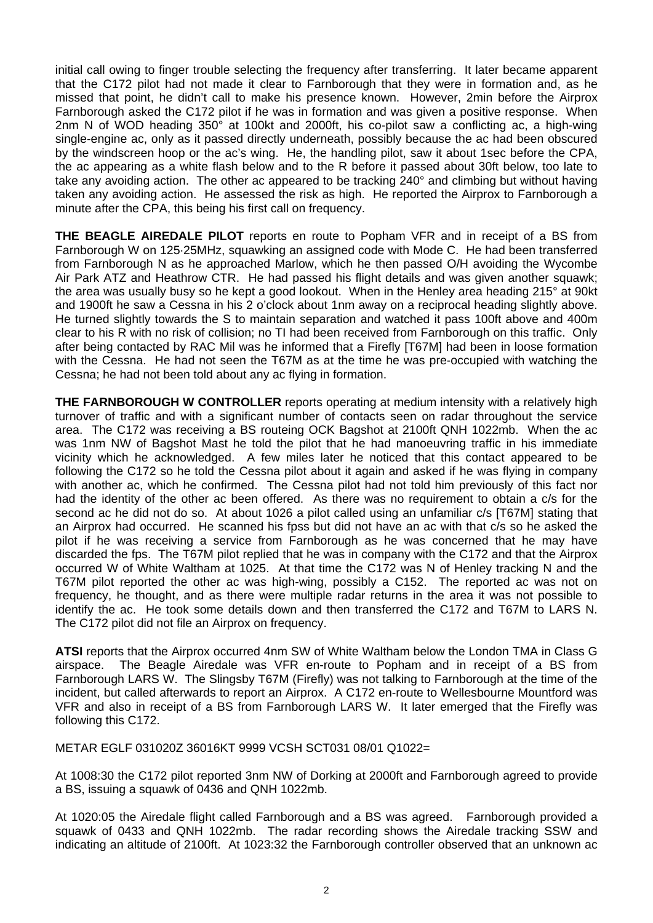initial call owing to finger trouble selecting the frequency after transferring. It later became apparent that the C172 pilot had not made it clear to Farnborough that they were in formation and, as he missed that point, he didn't call to make his presence known. However, 2min before the Airprox Farnborough asked the C172 pilot if he was in formation and was given a positive response. When 2nm N of WOD heading 350° at 100kt and 2000ft, his co-pilot saw a conflicting ac, a high-wing single-engine ac, only as it passed directly underneath, possibly because the ac had been obscured by the windscreen hoop or the ac's wing. He, the handling pilot, saw it about 1sec before the CPA, the ac appearing as a white flash below and to the R before it passed about 30ft below, too late to take any avoiding action. The other ac appeared to be tracking 240° and climbing but without having taken any avoiding action. He assessed the risk as high. He reported the Airprox to Farnborough a minute after the CPA, this being his first call on frequency.

**THE BEAGLE AIREDALE PILOT** reports en route to Popham VFR and in receipt of a BS from Farnborough W on 125·25MHz, squawking an assigned code with Mode C. He had been transferred from Farnborough N as he approached Marlow, which he then passed O/H avoiding the Wycombe Air Park ATZ and Heathrow CTR. He had passed his flight details and was given another squawk; the area was usually busy so he kept a good lookout. When in the Henley area heading 215° at 90kt and 1900ft he saw a Cessna in his 2 o'clock about 1nm away on a reciprocal heading slightly above. He turned slightly towards the S to maintain separation and watched it pass 100ft above and 400m clear to his R with no risk of collision; no TI had been received from Farnborough on this traffic. Only after being contacted by RAC Mil was he informed that a Firefly [T67M] had been in loose formation with the Cessna. He had not seen the T67M as at the time he was pre-occupied with watching the Cessna; he had not been told about any ac flying in formation.

**THE FARNBOROUGH W CONTROLLER** reports operating at medium intensity with a relatively high turnover of traffic and with a significant number of contacts seen on radar throughout the service area. The C172 was receiving a BS routeing OCK Bagshot at 2100ft QNH 1022mb. When the ac was 1nm NW of Bagshot Mast he told the pilot that he had manoeuvring traffic in his immediate vicinity which he acknowledged. A few miles later he noticed that this contact appeared to be following the C172 so he told the Cessna pilot about it again and asked if he was flying in company with another ac, which he confirmed. The Cessna pilot had not told him previously of this fact nor had the identity of the other ac been offered. As there was no requirement to obtain a c/s for the second ac he did not do so. At about 1026 a pilot called using an unfamiliar c/s [T67M] stating that an Airprox had occurred. He scanned his fpss but did not have an ac with that c/s so he asked the pilot if he was receiving a service from Farnborough as he was concerned that he may have discarded the fps. The T67M pilot replied that he was in company with the C172 and that the Airprox occurred W of White Waltham at 1025. At that time the C172 was N of Henley tracking N and the T67M pilot reported the other ac was high-wing, possibly a C152. The reported ac was not on frequency, he thought, and as there were multiple radar returns in the area it was not possible to identify the ac. He took some details down and then transferred the C172 and T67M to LARS N. The C172 pilot did not file an Airprox on frequency.

**ATSI** reports that the Airprox occurred 4nm SW of White Waltham below the London TMA in Class G airspace. The Beagle Airedale was VFR en-route to Popham and in receipt of a BS from Farnborough LARS W. The Slingsby T67M (Firefly) was not talking to Farnborough at the time of the incident, but called afterwards to report an Airprox. A C172 en-route to Wellesbourne Mountford was VFR and also in receipt of a BS from Farnborough LARS W. It later emerged that the Firefly was following this C172.

METAR EGLF 031020Z 36016KT 9999 VCSH SCT031 08/01 Q1022=

At 1008:30 the C172 pilot reported 3nm NW of Dorking at 2000ft and Farnborough agreed to provide a BS, issuing a squawk of 0436 and QNH 1022mb.

At 1020:05 the Airedale flight called Farnborough and a BS was agreed. Farnborough provided a squawk of 0433 and QNH 1022mb. The radar recording shows the Airedale tracking SSW and indicating an altitude of 2100ft. At 1023:32 the Farnborough controller observed that an unknown ac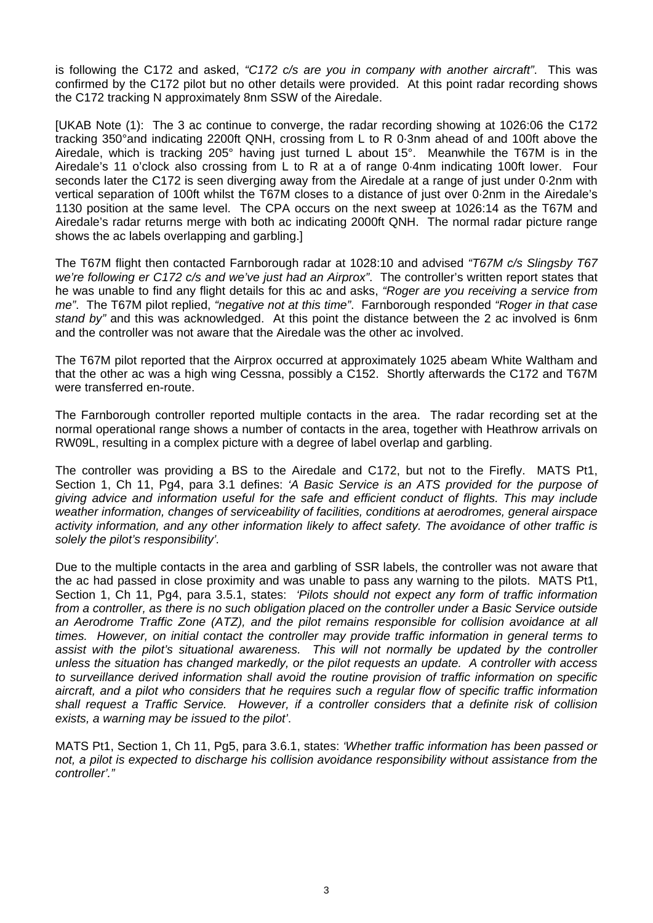is following the C172 and asked, *"C172 c/s are you in company with another aircraft"*. This was confirmed by the C172 pilot but no other details were provided. At this point radar recording shows the C172 tracking N approximately 8nm SSW of the Airedale.

[UKAB Note (1): The 3 ac continue to converge, the radar recording showing at 1026:06 the C172 tracking 350°and indicating 2200ft QNH, crossing from L to R 0·3nm ahead of and 100ft above the Airedale, which is tracking 205° having just turned L about 15°. Meanwhile the T67M is in the Airedale's 11 o'clock also crossing from L to R at a of range 0·4nm indicating 100ft lower. Four seconds later the C172 is seen diverging away from the Airedale at a range of just under 0·2nm with vertical separation of 100ft whilst the T67M closes to a distance of just over 0·2nm in the Airedale's 1130 position at the same level. The CPA occurs on the next sweep at 1026:14 as the T67M and Airedale's radar returns merge with both ac indicating 2000ft QNH. The normal radar picture range shows the ac labels overlapping and garbling.]

The T67M flight then contacted Farnborough radar at 1028:10 and advised *"T67M c/s Slingsby T67 we're following er C172 c/s and we've just had an Airprox"*. The controller's written report states that he was unable to find any flight details for this ac and asks, *"Roger are you receiving a service from me"*. The T67M pilot replied, *"negative not at this time"*. Farnborough responded *"Roger in that case stand by"* and this was acknowledged. At this point the distance between the 2 ac involved is 6nm and the controller was not aware that the Airedale was the other ac involved.

The T67M pilot reported that the Airprox occurred at approximately 1025 abeam White Waltham and that the other ac was a high wing Cessna, possibly a C152. Shortly afterwards the C172 and T67M were transferred en-route.

The Farnborough controller reported multiple contacts in the area. The radar recording set at the normal operational range shows a number of contacts in the area, together with Heathrow arrivals on RW09L, resulting in a complex picture with a degree of label overlap and garbling.

The controller was providing a BS to the Airedale and C172, but not to the Firefly. MATS Pt1, Section 1, Ch 11, Pg4, para 3.1 defines: *'A Basic Service is an ATS provided for the purpose of giving advice and information useful for the safe and efficient conduct of flights. This may include weather information, changes of serviceability of facilities, conditions at aerodromes, general airspace activity information, and any other information likely to affect safety. The avoidance of other traffic is solely the pilot's responsibility'.*

Due to the multiple contacts in the area and garbling of SSR labels, the controller was not aware that the ac had passed in close proximity and was unable to pass any warning to the pilots. MATS Pt1, Section 1, Ch 11, Pg4, para 3.5.1, states: *'Pilots should not expect any form of traffic information from a controller, as there is no such obligation placed on the controller under a Basic Service outside an Aerodrome Traffic Zone (ATZ), and the pilot remains responsible for collision avoidance at all times. However, on initial contact the controller may provide traffic information in general terms to*  assist with the pilot's situational awareness. This will not normally be updated by the controller *unless the situation has changed markedly, or the pilot requests an update. A controller with access to surveillance derived information shall avoid the routine provision of traffic information on specific aircraft, and a pilot who considers that he requires such a regular flow of specific traffic information shall request a Traffic Service. However, if a controller considers that a definite risk of collision exists, a warning may be issued to the pilot'*.

MATS Pt1, Section 1, Ch 11, Pg5, para 3.6.1, states: *'Whether traffic information has been passed or not, a pilot is expected to discharge his collision avoidance responsibility without assistance from the controller'."*